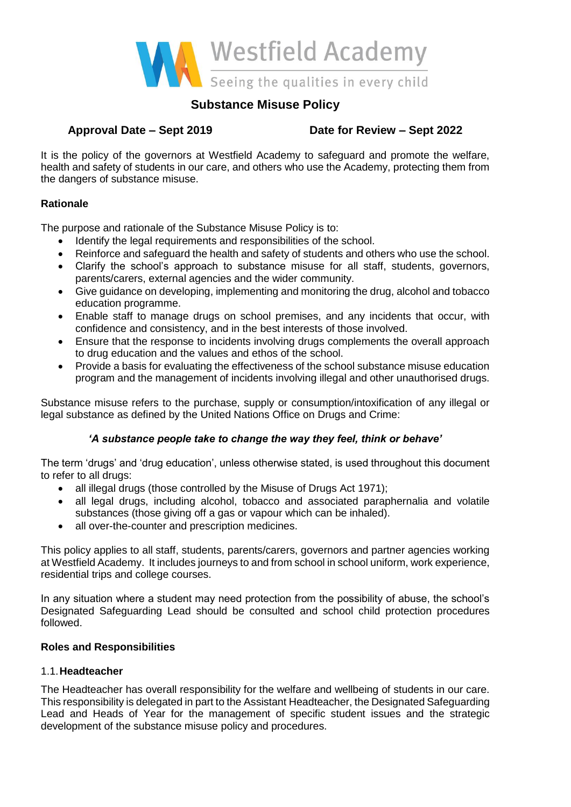

# **Substance Misuse Policy**

# **Approval Date – Sept 2019 Date for Review – Sept 2022**

It is the policy of the governors at Westfield Academy to safeguard and promote the welfare, health and safety of students in our care, and others who use the Academy, protecting them from the dangers of substance misuse.

# **Rationale**

The purpose and rationale of the Substance Misuse Policy is to:

- Identify the legal requirements and responsibilities of the school.
- Reinforce and safeguard the health and safety of students and others who use the school.
- Clarify the school's approach to substance misuse for all staff, students, governors, parents/carers, external agencies and the wider community.
- Give guidance on developing, implementing and monitoring the drug, alcohol and tobacco education programme.
- Enable staff to manage drugs on school premises, and any incidents that occur, with confidence and consistency, and in the best interests of those involved.
- Ensure that the response to incidents involving drugs complements the overall approach to drug education and the values and ethos of the school.
- Provide a basis for evaluating the effectiveness of the school substance misuse education program and the management of incidents involving illegal and other unauthorised drugs.

Substance misuse refers to the purchase, supply or consumption/intoxification of any illegal or legal substance as defined by the United Nations Office on Drugs and Crime:

# *'A substance people take to change the way they feel, think or behave'*

The term 'drugs' and 'drug education', unless otherwise stated, is used throughout this document to refer to all drugs:

- all illegal drugs (those controlled by the Misuse of Drugs Act 1971);
- all legal drugs, including alcohol, tobacco and associated paraphernalia and volatile substances (those giving off a gas or vapour which can be inhaled).
- all over-the-counter and prescription medicines.

This policy applies to all staff, students, parents/carers, governors and partner agencies working at Westfield Academy. It includes journeys to and from school in school uniform, work experience, residential trips and college courses.

In any situation where a student may need protection from the possibility of abuse, the school's Designated Safeguarding Lead should be consulted and school child protection procedures followed.

## **Roles and Responsibilities**

# 1.1.**Headteacher**

The Headteacher has overall responsibility for the welfare and wellbeing of students in our care. This responsibility is delegated in part to the Assistant Headteacher, the Designated Safeguarding Lead and Heads of Year for the management of specific student issues and the strategic development of the substance misuse policy and procedures.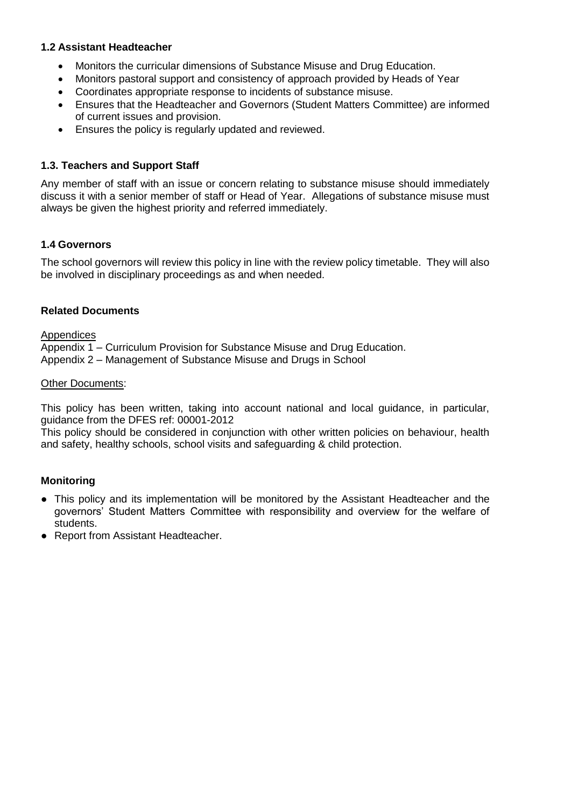## **1.2 Assistant Headteacher**

- Monitors the curricular dimensions of Substance Misuse and Drug Education.
- Monitors pastoral support and consistency of approach provided by Heads of Year
- Coordinates appropriate response to incidents of substance misuse.
- Ensures that the Headteacher and Governors (Student Matters Committee) are informed of current issues and provision.
- Ensures the policy is regularly updated and reviewed.

## **1.3. Teachers and Support Staff**

Any member of staff with an issue or concern relating to substance misuse should immediately discuss it with a senior member of staff or Head of Year. Allegations of substance misuse must always be given the highest priority and referred immediately.

## **1.4 Governors**

The school governors will review this policy in line with the review policy timetable. They will also be involved in disciplinary proceedings as and when needed.

## **Related Documents**

Appendices

Appendix 1 – Curriculum Provision for Substance Misuse and Drug Education. Appendix 2 – Management of Substance Misuse and Drugs in School

## Other Documents:

This policy has been written, taking into account national and local guidance, in particular, guidance from the DFES ref: 00001-2012

This policy should be considered in conjunction with other written policies on behaviour, health and safety, healthy schools, school visits and safeguarding & child protection.

# **Monitoring**

- This policy and its implementation will be monitored by the Assistant Headteacher and the governors' Student Matters Committee with responsibility and overview for the welfare of students.
- Report from Assistant Headteacher.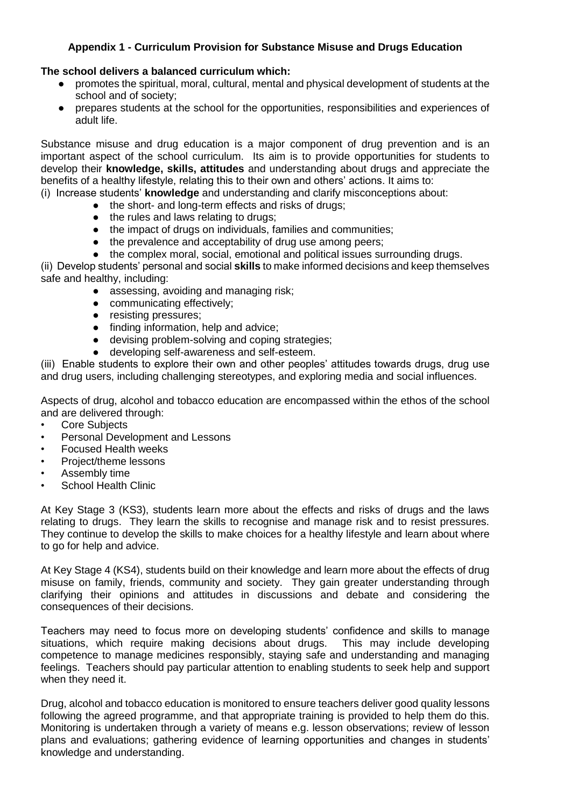## **Appendix 1 - Curriculum Provision for Substance Misuse and Drugs Education**

## **The school delivers a balanced curriculum which:**

- promotes the spiritual, moral, cultural, mental and physical development of students at the school and of society;
- prepares students at the school for the opportunities, responsibilities and experiences of adult life.

Substance misuse and drug education is a major component of drug prevention and is an important aspect of the school curriculum. Its aim is to provide opportunities for students to develop their **knowledge, skills, attitudes** and understanding about drugs and appreciate the benefits of a healthy lifestyle, relating this to their own and others' actions. It aims to:

(i) Increase students' **knowledge** and understanding and clarify misconceptions about:

- the short- and long-term effects and risks of drugs;
- the rules and laws relating to drugs:
- the impact of drugs on individuals, families and communities;
- the prevalence and acceptability of drug use among peers;
- the complex moral, social, emotional and political issues surrounding drugs.

(ii) Develop students' personal and social **skills** to make informed decisions and keep themselves safe and healthy, including:

- assessing, avoiding and managing risk;
- communicating effectively;
- resisting pressures;
- finding information, help and advice;
- devising problem-solving and coping strategies;
- developing self-awareness and self-esteem.

(iii) Enable students to explore their own and other peoples' attitudes towards drugs, drug use and drug users, including challenging stereotypes, and exploring media and social influences.

Aspects of drug, alcohol and tobacco education are encompassed within the ethos of the school and are delivered through:

- Core Subjects
- Personal Development and Lessons
- Focused Health weeks
- Project/theme lessons
- Assembly time
- School Health Clinic

At Key Stage 3 (KS3), students learn more about the effects and risks of drugs and the laws relating to drugs. They learn the skills to recognise and manage risk and to resist pressures. They continue to develop the skills to make choices for a healthy lifestyle and learn about where to go for help and advice.

At Key Stage 4 (KS4), students build on their knowledge and learn more about the effects of drug misuse on family, friends, community and society. They gain greater understanding through clarifying their opinions and attitudes in discussions and debate and considering the consequences of their decisions.

Teachers may need to focus more on developing students' confidence and skills to manage situations, which require making decisions about drugs. This may include developing competence to manage medicines responsibly, staying safe and understanding and managing feelings. Teachers should pay particular attention to enabling students to seek help and support when they need it.

Drug, alcohol and tobacco education is monitored to ensure teachers deliver good quality lessons following the agreed programme, and that appropriate training is provided to help them do this. Monitoring is undertaken through a variety of means e.g. lesson observations; review of lesson plans and evaluations; gathering evidence of learning opportunities and changes in students' knowledge and understanding.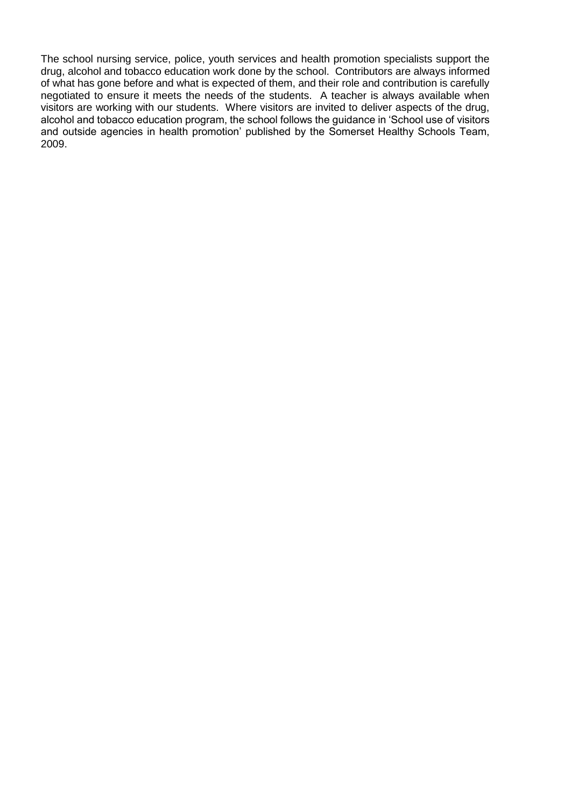The school nursing service, police, youth services and health promotion specialists support the drug, alcohol and tobacco education work done by the school. Contributors are always informed of what has gone before and what is expected of them, and their role and contribution is carefully negotiated to ensure it meets the needs of the students. A teacher is always available when visitors are working with our students. Where visitors are invited to deliver aspects of the drug, alcohol and tobacco education program, the school follows the guidance in 'School use of visitors and outside agencies in health promotion' published by the Somerset Healthy Schools Team, 2009.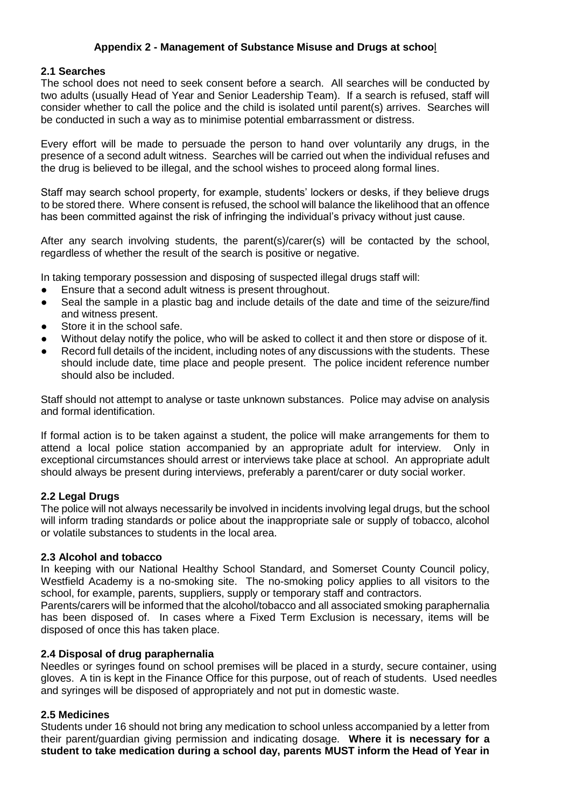## **Appendix 2 - Management of Substance Misuse and Drugs at schoo**l

#### **2.1 Searches**

The school does not need to seek consent before a search. All searches will be conducted by two adults (usually Head of Year and Senior Leadership Team). If a search is refused, staff will consider whether to call the police and the child is isolated until parent(s) arrives. Searches will be conducted in such a way as to minimise potential embarrassment or distress.

Every effort will be made to persuade the person to hand over voluntarily any drugs, in the presence of a second adult witness. Searches will be carried out when the individual refuses and the drug is believed to be illegal, and the school wishes to proceed along formal lines.

Staff may search school property, for example, students' lockers or desks, if they believe drugs to be stored there. Where consent is refused, the school will balance the likelihood that an offence has been committed against the risk of infringing the individual's privacy without just cause.

After any search involving students, the parent(s)/carer(s) will be contacted by the school, regardless of whether the result of the search is positive or negative.

In taking temporary possession and disposing of suspected illegal drugs staff will:

- Ensure that a second adult witness is present throughout.
- Seal the sample in a plastic bag and include details of the date and time of the seizure/find and witness present.
- Store it in the school safe.
- Without delay notify the police, who will be asked to collect it and then store or dispose of it.
- Record full details of the incident, including notes of any discussions with the students. These should include date, time place and people present. The police incident reference number should also be included.

Staff should not attempt to analyse or taste unknown substances. Police may advise on analysis and formal identification.

If formal action is to be taken against a student, the police will make arrangements for them to attend a local police station accompanied by an appropriate adult for interview. Only in exceptional circumstances should arrest or interviews take place at school. An appropriate adult should always be present during interviews, preferably a parent/carer or duty social worker.

## **2.2 Legal Drugs**

The police will not always necessarily be involved in incidents involving legal drugs, but the school will inform trading standards or police about the inappropriate sale or supply of tobacco, alcohol or volatile substances to students in the local area.

## **2.3 Alcohol and tobacco**

In keeping with our National Healthy School Standard, and Somerset County Council policy, Westfield Academy is a no-smoking site. The no-smoking policy applies to all visitors to the school, for example, parents, suppliers, supply or temporary staff and contractors.

Parents/carers will be informed that the alcohol/tobacco and all associated smoking paraphernalia has been disposed of. In cases where a Fixed Term Exclusion is necessary, items will be disposed of once this has taken place.

## **2.4 Disposal of drug paraphernalia**

Needles or syringes found on school premises will be placed in a sturdy, secure container, using gloves. A tin is kept in the Finance Office for this purpose, out of reach of students. Used needles and syringes will be disposed of appropriately and not put in domestic waste.

## **2.5 Medicines**

Students under 16 should not bring any medication to school unless accompanied by a letter from their parent/guardian giving permission and indicating dosage. **Where it is necessary for a student to take medication during a school day, parents MUST inform the Head of Year in**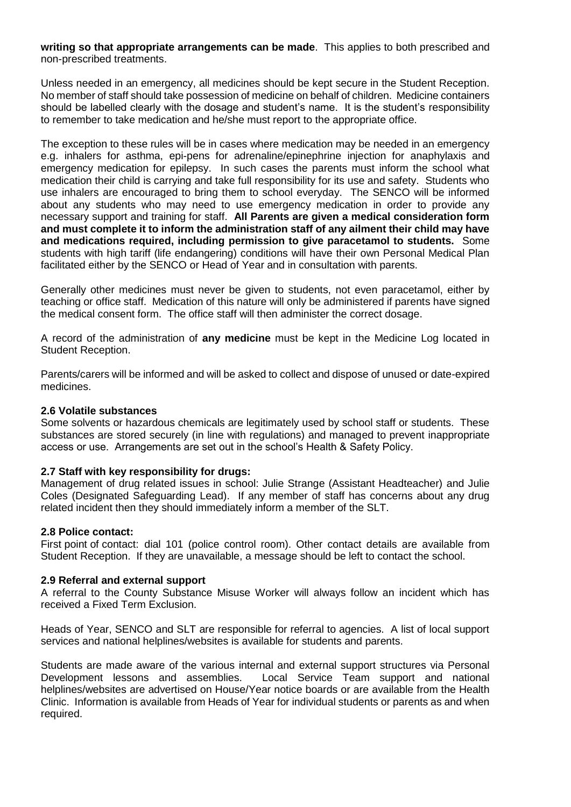**writing so that appropriate arrangements can be made**. This applies to both prescribed and non-prescribed treatments.

Unless needed in an emergency, all medicines should be kept secure in the Student Reception. No member of staff should take possession of medicine on behalf of children. Medicine containers should be labelled clearly with the dosage and student's name. It is the student's responsibility to remember to take medication and he/she must report to the appropriate office.

The exception to these rules will be in cases where medication may be needed in an emergency e.g. inhalers for asthma, epi-pens for adrenaline/epinephrine injection for anaphylaxis and emergency medication for epilepsy. In such cases the parents must inform the school what medication their child is carrying and take full responsibility for its use and safety. Students who use inhalers are encouraged to bring them to school everyday. The SENCO will be informed about any students who may need to use emergency medication in order to provide any necessary support and training for staff. **All Parents are given a medical consideration form and must complete it to inform the administration staff of any ailment their child may have and medications required, including permission to give paracetamol to students.** Some students with high tariff (life endangering) conditions will have their own Personal Medical Plan facilitated either by the SENCO or Head of Year and in consultation with parents.

Generally other medicines must never be given to students, not even paracetamol, either by teaching or office staff. Medication of this nature will only be administered if parents have signed the medical consent form. The office staff will then administer the correct dosage.

A record of the administration of **any medicine** must be kept in the Medicine Log located in Student Reception.

Parents/carers will be informed and will be asked to collect and dispose of unused or date-expired medicines.

#### **2.6 Volatile substances**

Some solvents or hazardous chemicals are legitimately used by school staff or students. These substances are stored securely (in line with regulations) and managed to prevent inappropriate access or use. Arrangements are set out in the school's Health & Safety Policy.

## **2.7 Staff with key responsibility for drugs:**

Management of drug related issues in school: Julie Strange (Assistant Headteacher) and Julie Coles (Designated Safeguarding Lead). If any member of staff has concerns about any drug related incident then they should immediately inform a member of the SLT.

#### **2.8 Police contact:**

First point of contact: dial 101 (police control room). Other contact details are available from Student Reception. If they are unavailable, a message should be left to contact the school.

#### **2.9 Referral and external support**

A referral to the County Substance Misuse Worker will always follow an incident which has received a Fixed Term Exclusion.

Heads of Year, SENCO and SLT are responsible for referral to agencies. A list of local support services and national helplines/websites is available for students and parents.

Students are made aware of the various internal and external support structures via Personal Development lessons and assemblies. Local Service Team support and national helplines/websites are advertised on House/Year notice boards or are available from the Health Clinic. Information is available from Heads of Year for individual students or parents as and when required.